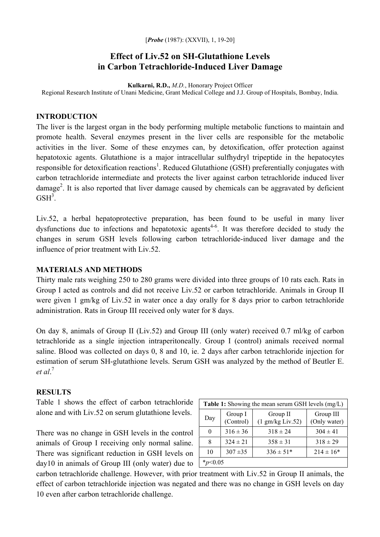[*Probe* (1987): (XXVII), 1, 19-20]

# **Effect of Liv.52 on SH-Glutathione Levels in Carbon Tetrachloride-Induced Liver Damage**

**Kulkarni, R.D.,** *M.D.*, Honorary Project Officer Regional Research Institute of Unani Medicine, Grant Medical College and J.J. Group of Hospitals, Bombay, India.

## **INTRODUCTION**

The liver is the largest organ in the body performing multiple metabolic functions to maintain and promote health. Several enzymes present in the liver cells are responsible for the metabolic activities in the liver. Some of these enzymes can, by detoxification, offer protection against hepatotoxic agents. Glutathione is a major intracellular sulfhydryl tripeptide in the hepatocytes responsible for detoxification reactions<sup>1</sup>. Reduced Glutathione (GSH) preferentially conjugates with carbon tetrachloride intermediate and protects the liver against carbon tetrachloride induced liver damage<sup>2</sup>. It is also reported that liver damage caused by chemicals can be aggravated by deficient  $GSH<sup>3</sup>$ .

Liv.52, a herbal hepatoprotective preparation, has been found to be useful in many liver dysfunctions due to infections and hepatotoxic agents<sup>4-6</sup>. It was therefore decided to study the changes in serum GSH levels following carbon tetrachloride-induced liver damage and the influence of prior treatment with Liv.52.

### **MATERIALS AND METHODS**

Thirty male rats weighing 250 to 280 grams were divided into three groups of 10 rats each. Rats in Group I acted as controls and did not receive Liv.52 or carbon tetrachloride. Animals in Group II were given 1 gm/kg of Liv.52 in water once a day orally for 8 days prior to carbon tetrachloride administration. Rats in Group III received only water for 8 days.

On day 8, animals of Group II (Liv.52) and Group III (only water) received 0.7 ml/kg of carbon tetrachloride as a single injection intraperitoneally. Group I (control) animals received normal saline. Blood was collected on days 0, 8 and 10, ie. 2 days after carbon tetrachloride injection for estimation of serum SH-glutathione levels. Serum GSH was analyzed by the method of Beutler E. *et al*. 7

### **RESULTS**

Table 1 shows the effect of carbon tetrachloride alone and with Liv.52 on serum glutathione levels.

There was no change in GSH levels in the control animals of Group I receiving only normal saline. There was significant reduction in GSH levels on day10 in animals of Group III (only water) due to

| <b>Table 1:</b> Showing the mean serum GSH levels (mg/L) |                      |                                        |                           |
|----------------------------------------------------------|----------------------|----------------------------------------|---------------------------|
| Day                                                      | Group I<br>(Control) | Group II<br>$(1 \text{ gm/kg}$ Liv.52) | Group III<br>(Only water) |
| 0                                                        | $316 \pm 36$         | $318 \pm 24$                           | $304 \pm 41$              |
| 8                                                        | $324 \pm 21$         | $358 \pm 31$                           | $318 \pm 29$              |
| 10                                                       | $307 + 35$           | $336 \pm 51*$                          | $214 \pm 16*$             |
|                                                          |                      |                                        |                           |

carbon tetrachloride challenge. However, with prior treatment with Liv.52 in Group II animals, the effect of carbon tetrachloride injection was negated and there was no change in GSH levels on day 10 even after carbon tetrachloride challenge.